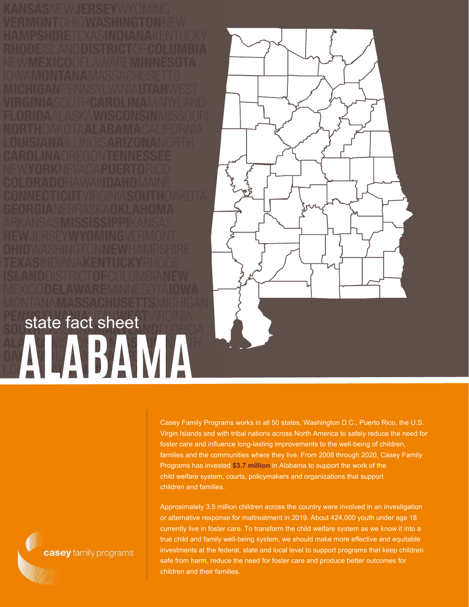state fact sheet

**ALABAMA**



Casey Family Programs works in all 50 states, Washington D.C., Puerto Rico, the U.S. Virgin Islands and with tribal nations across North America to safely reduce the need for foster care and influence long-lasting improvements to the well-being of children, families and the communities where they live. From 2008 through 2020, Casey Family Programs has invested **\$3.7 million** in Alabama to support the work of the child welfare system, courts, policymakers and organizations that support children and families.

Approximately 3.5 million children across the country were involved in an investigation or alternative response for maltreatment in 2019. About 424,000 youth under age 18 currently live in foster care. To transform the child welfare system as we know it into a true child and family well-being system, we should make more effective and equitable investments at the federal, state and local level to support programs that keep children safe from harm, reduce the need for foster care and produce better outcomes for children and their families.

casey family programs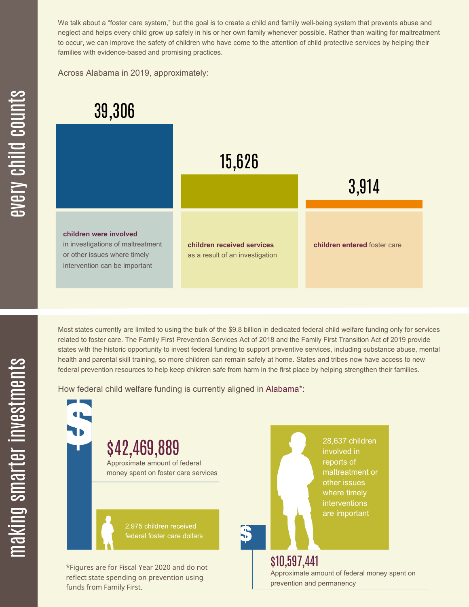We talk about a "foster care system," but the goal is to create a child and family well-being system that prevents abuse and neglect and helps every child grow up safely in his or her own family whenever possible. Rather than waiting for maltreatment to occur, we can improve the safety of children who have come to the attention of child protective services by helping their families with evidence-based and promising practices.

Across Alabama in 2019, approximately:



Most states currently are limited to using the bulk of the \$9.8 billion in dedicated federal child welfare funding only for services related to foster care. The Family First Prevention Services Act of 2018 and the Family First Transition Act of 2019 provide states with the historic opportunity to invest federal funding to support preventive services, including substance abuse, mental health and parental skill training, so more children can remain safely at home. States and tribes now have access to new federal prevention resources to help keep children safe from harm in the first place by helping strengthen their families.

How federal child welfare funding is currently aligned in Alabama\*:



 $\mathbf \Xi$ **CO** kin gs $\mathbf \Xi$ **CO** rtæ r in  $\, >$ c جا  $\mathbf \Xi$ c  $\blacksquare$  $\mathbf{S}$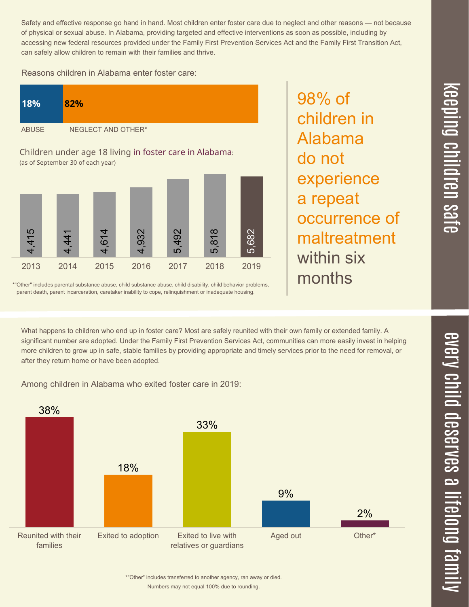$\overline{\phantom{1}}$  $\overline{\mathbf \Theta}$  $\overline{\mathbf{C}}$ <u>pin</u>  $\overline{\mathbf{C}}$  $\overline{\mathbf{C}}$  $\equiv$  $\overline{\mathbf{c}}$  $\overline{\phantom{0}}$  $\boldsymbol{\mathcal{O}}$ a  $\overrightarrow{\mathbf{e}}$ 

Safety and effective response go hand in hand. Most children enter foster care due to neglect and other reasons — not because of physical or sexual abuse. In Alabama, providing targeted and effective interventions as soon as possible, including by accessing new federal resources provided under the Family First Prevention Services Act and the Family First Transition Act, can safely allow children to remain with their families and thrive.

98% of

children in

experience

occurrence of

maltreatment

Alabama

a repeat

within six

months

do not

Reasons children in Alabama enter foster care:



\*"Other" includes parental substance abuse, child substance abuse, child disability, child behavior problems, parent death, parent incarceration, caretaker inability to cope, relinquishment or inadequate housing.

What happens to children who end up in foster care? Most are safely reunited with their own family or extended family. A significant number are adopted. Under the Family First Prevention Services Act, communities can more easily invest in helping more children to grow up in safe, stable families by providing appropriate and timely services prior to the need for removal, or after they return home or have been adopted.

Among children in Alabama who exited foster care in 2019:



Numbers may not equal 100% due to rounding. \*"Other" includes transferred to another agency, ran away or died.  $\overline{\mathbf{C}}$  $\leq$